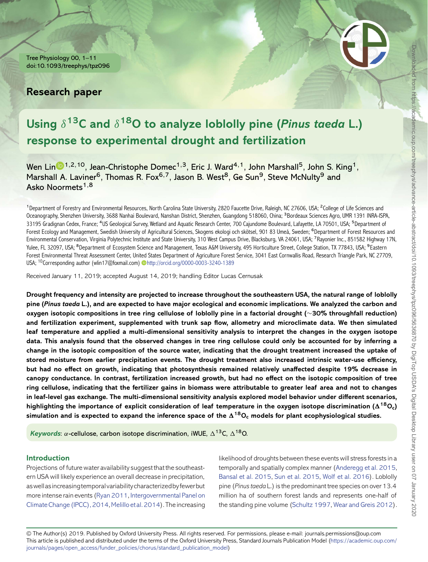Tree Physiology 00, 1–11 doi:10.1093/treephys/tpz096

# **Research paper**



# **Using** δ**13C and** δ**18O to analyze loblolly pine (***Pinus taeda* **L.) response to experimental drought and fertilization**

Wen Lin  $\mathbb{D}^{1,2,10}$  $\mathbb{D}^{1,2,10}$  $\mathbb{D}^{1,2,10}$ , Jean-Christophe Domec<sup>1,3</sup>, Eric J. Ward<sup>4,1</sup>, John Marshall<sup>5</sup>, John S. King<sup>1</sup>, Marshall A. Laviner<sup>6</sup>, Thomas R. Fox<sup>6,7</sup>, Jason B. West<sup>8</sup>, Ge Sun<sup>9</sup>, Steve McNulty<sup>9</sup> and Asko Noormets<sup>1,8</sup>

<sup>1</sup>Department of Forestry and Environmental Resources, North Carolina State University, 2820 Faucette Drive, Raleigh, NC 27606, USA; <sup>2</sup>College of Life Sciences and Oceanography, Shenzhen University, 3688 Nanhai Boulevard, Nanshan District, Shenzhen, Guangdong 518060, China; <sup>3</sup>Bordeaux Sciences Agro, UMR 1391 INRA-ISPA, 33195 Gradignan Cedex, France; <sup>4</sup>US Geological Survey, Wetland and Aquatic Research Center, 700 Cajundome Boulevard, Lafayette, LA 70501, USA; <sup>5</sup>Department of Forest Ecology and Management, Swedish University of Agricultural Sciences, Skogens ekologi och skötsel, 901 83 Umeå, Sweden; <sup>6</sup>Department of Forest Resources and Environmental Conservation, Virginia Polytechnic Institute and State University, 310 West Campus Drive, Blacksburg, VA 24061, USA; <sup>7</sup>Rayonier Inc., 851582 Highway 17N, Yulee, FL 32097, USA; <sup>8</sup>Department of Ecosystem Science and Management, Texas A&M University, 495 Horticulture Street, College Station, TX 77843, USA; <sup>9</sup>Eastern Forest Environmental Threat Assessment Center, United States Department of Agriculture Forest Service, 3041 East Cornwallis Road, Research Triangle Park, NC 27709, USA; <sup>10</sup>Corresponding author (wlin17@foxmail.com) D<http://orcid.org/0000-0003-3240-1389>

Received January 11, 2019; accepted August 14, 2019; handling Editor Lucas Cernusak

**Drought frequency and intensity are projected to increase throughout the southeastern USA, the natural range of loblolly pine (***Pinus taeda* **L.), and are expected to have major ecological and economic implications. We analyzed the carbon and oxygen isotopic compositions in tree ring cellulose of loblolly pine in a factorial drought (**∼**30% throughfall reduction) and fertilization experiment, supplemented with trunk sap flow, allometry and microclimate data. We then simulated leaf temperature and applied a multi-dimensional sensitivity analysis to interpret the changes in the oxygen isotope data. This analysis found that the observed changes in tree ring cellulose could only be accounted for by inferring a change in the isotopic composition of the source water, indicating that the drought treatment increased the uptake of stored moisture from earlier precipitation events. The drought treatment also increased intrinsic water-use efficiency, but had no effect on growth, indicating that photosynthesis remained relatively unaffected despite 19% decrease in canopy conductance. In contrast, fertilization increased growth, but had no effect on the isotopic composition of tree ring cellulose, indicating that the fertilizer gains in biomass were attributable to greater leaf area and not to changes in leaf-level gas exchange. The multi-dimensional sensitivity analysis explored model behavior under different scenarios,** highlighting the importance of explicit consideration of leaf temperature in the oxygen isotope discrimination ( $\Delta^{18}$ O<sub>c</sub>) simulation and is expected to expand the inference space of the  $\Delta^{18}O_c$  models for plant ecophysiological studies.

*Keywords*:  $\alpha$ -cellulose, carbon isotope discrimination, iWUE,  $\Delta^{13}C$ ,  $\Delta^{18}O$ .

# **Introduction**

Projections of future water availability suggest that the southeastern USA will likely experience an overall decrease in precipitation, aswellasincreasingtemporalvariabilitycharacterizedbyfewerbut more intense rain events [\(Ryan 2011,](#page-10-0) Intergovernmental Panel on Climate Change (IPCC), 2014, Melillo et al. 2014). The increasing likelihood of droughts between these events will stress forests in a temporally and spatially complex manner [\(Anderegg et al. 2015,](#page-9-1) [Bansal et al. 2015,](#page-9-2) [Sun et al. 2015,](#page-10-2) [Wolf et al. 2016\)](#page-10-3). Loblolly pine (*Pinus taeda* L.) is the predominant tree species on over 13.4 million ha of southern forest lands and represents one-half of the standing pine volume [\(Schultz 1997,](#page-10-4) [Wear and Greis 2012\)](#page-10-5).

© The Author(s) 2019. Published by Oxford University Press. All rights reserved. For permissions, please e-mail: journals.permissions@oup.com This article is published and distributed under the terms of the Oxford University Press, Standard Journals Publication Model [\(https://academic.oup.com/](https://academic.oup.com/journals/pages/open_access/funder_policies/chorus/standard_publication_model) [journals/pages/open\\_access/funder\\_policies/chorus/standard\\_publication\\_model\)](https://academic.oup.com/journals/pages/open_access/funder_policies/chorus/standard_publication_model)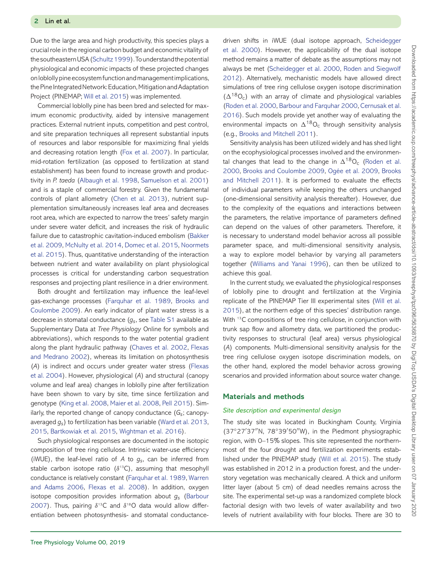Due to the large area and high productivity, this species plays a crucial role in the regional carbon budget and economic vitality of the southeastern USA (Schultz 1999). To understand the potential physiological and economic impacts of these projected changes on loblolly pine ecosystemfunctionandmanagementimplications, the Pine IntegratedNetwork: Education,MitigationandAdaptation Project (PINEMAP; [Will et al. 2015\)](#page-10-7) was implemented.

Commercial loblolly pine has been bred and selected for maximum economic productivity, aided by intensive management practices. External nutrient inputs, competition and pest control, and site preparation techniques all represent substantial inputs of resources and labor responsible for maximizing final yields and decreasing rotation length [\(Fox et al. 2007\)](#page-9-3). In particular, mid-rotation fertilization (as opposed to fertilization at stand establishment) has been found to increase growth and productivity in *P. taeda* [\(Albaugh et al. 1998,](#page-8-0) [Samuelson et al. 2001\)](#page-10-8) and is a staple of commercial forestry. Given the fundamental controls of plant allometry [\(Chen et al. 2013\)](#page-9-4), nutrient supplementation simultaneously increases leaf area and decreases root area, which are expected to narrow the trees' safety margin under severe water deficit, and increases the risk of hydraulic [failure due to catastrophic cavitation-induced embolism \(Bakker](#page-9-5) et al. 2009, [McNulty et al. 2014,](#page-10-9) [Domec et al. 2015,](#page-9-6) Noormets [et al. 2015\). Thus, quantitative understanding of the interaction](#page-10-10) between nutrient and water availability on plant physiological processes is critical for understanding carbon sequestration responses and projecting plant resilience in a drier environment.

Both drought and fertilization may influence the leaf-level gas-exchange processes [\(Farquhar et al. 1989,](#page-9-7) Brooks and [Coulombe 2009\). An early indicator of plant water stress is a](#page-9-8) decrease in stomatal conductance (*gs*, see [Table S1](https://academic.oup.com/treephys/article-lookup/doi/10.1093/treephys/tpz096#supplementary-data) available as Supplementary Data at *Tree Physiology* Online for symbols and abbreviations), which responds to the water potential gradient along the plant hydraulic pathway [\(Chaves et al. 2002,](#page-9-9) Flexas [and Medrano 2002\), whereas its limitation on photosynthesis](#page-9-10) (*A*[\) is indirect and occurs under greater water stress \(Flexas](#page-9-11) et al. 2004). However, physiological (*A*) and structural (canopy volume and leaf area) changes in loblolly pine after fertilization have been shown to vary by site, time since fertilization and genotype [\(King et al. 2008,](#page-9-12) [Maier et al. 2008,](#page-10-11) [Pell 2015\)](#page-10-12). Similarly, the reported change of canopy conductance (*Gs*; canopyaveraged *gs*) to fertilization has been variable [\(Ward et al. 2013,](#page-10-13) [2015,](#page-10-14) [Bartkowiak et al. 2015,](#page-9-13) [Wightman et al. 2016\)](#page-10-15).

Such physiological responses are documented in the isotopic composition of tree ring cellulose. Intrinsic water-use efficiency (iWUE), the leaf-level ratio of *A* to *gs*, can be inferred from stable carbon isotope ratio  $(\delta^{13}C)$ , assuming that mesophyll [conductance is relatively constant \(](#page-10-16)[Farquhar et al. 1989](#page-9-7)[,](#page-10-16) Warren and Adams 2006, [Flexas et al. 2008\)](#page-9-14). In addition, oxygen [isotope composition provides information about](#page-9-15) *gs* (Barbour 2007). Thus, pairing  $\delta^{13}$ C and  $\delta^{18}$ O data would allow differentiation between photosynthesis- and stomatal conductancedriven shifts in iWUE (dual isotope approach, Scheidegger [et al. 2000\). However, the applicability of the dual isotope](#page-10-17) method remains a matter of debate as the assumptions may not always be met [\(Scheidegger et al. 2000,](#page-10-17) Roden and Siegwolf [2012\). Alternatively, mechanistic models have allowed direct](#page-10-18) simulations of tree ring cellulose oxygen isotope discrimination  $(\Delta^{18}O_c)$  with an array of climate and physiological variables [\(Roden et al. 2000,](#page-10-19) [Barbour and Farquhar 2000,](#page-9-16) Cernusak et al. [2016\). Such models provide yet another way of evaluating the](#page-9-17) environmental impacts on  $\Delta^{18}O_c$  through sensitivity analysis (e.g., [Brooks and Mitchell 2011\)](#page-9-18).

Sensitivity analysis has been utilized widely and has shed light on the ecophysiological processes involved and the environmen[tal changes that lead to the change in](#page-10-19)  $\Delta^{18}O_c$  (Roden et al. 2000, [Brooks and Coulombe 2009,](#page-9-8) [Ogée et al. 2009,](#page-10-20) Brooks [and Mitchell 2011\). It is performed to evaluate the effects](#page-9-18) of individual parameters while keeping the others unchanged (one-dimensional sensitivity analysis thereafter). However, due to the complexity of the equations and interactions between the parameters, the relative importance of parameters defined can depend on the values of other parameters. Therefore, it is necessary to understand model behavior across all possible parameter space, and multi-dimensional sensitivity analysis, a way to explore model behavior by varying all parameters together [\(Williams and Yanai 1996\)](#page-10-21), can then be utilized to achieve this goal.

In the current study, we evaluated the physiological responses of loblolly pine to drought and fertilization at the Virginia [replicate of the PINEMAP Tier III experimental sites \(Will et al.](#page-10-7) 2015), at the northern edge of this species' distribution range. With <sup>13</sup>C compositions of tree ring cellulose, in conjunction with trunk sap flow and allometry data, we partitioned the productivity responses to structural (leaf area) versus physiological (*A*) components. Multi-dimensional sensitivity analysis for the tree ring cellulose oxygen isotope discrimination models, on the other hand, explored the model behavior across growing scenarios and provided information about source water change.

# **Materials and methods**

#### *Site description and experimental design*

The study site was located in Buckingham County, Virginia (37°27'37"N, 78°39'50"W), in the Piedmont physiographic region, with 0–15% slopes. This site represented the northernmost of the four drought and fertilization experiments established under the PINEMAP study [\(Will et al. 2015\)](#page-10-7). The study was established in 2012 in a production forest, and the understory vegetation was mechanically cleared. A thick and uniform litter layer (about 5 cm) of dead needles remains across the site. The experimental set-up was a randomized complete block factorial design with two levels of water availability and two levels of nutrient availability with four blocks. There are 30 to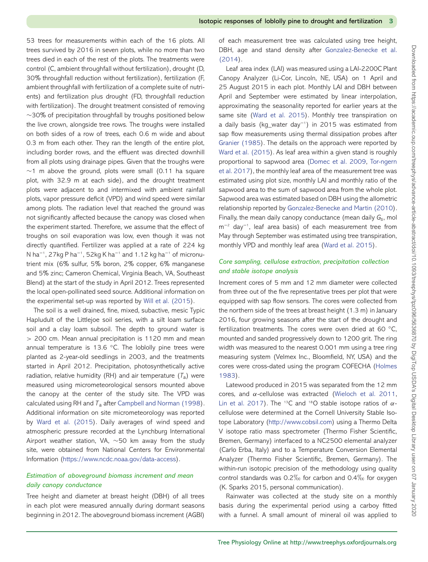53 trees for measurements within each of the 16 plots. All trees survived by 2016 in seven plots, while no more than two trees died in each of the rest of the plots. The treatments were control (C, ambient throughfall without fertilization), drought (D, 30% throughfall reduction without fertilization), fertilization (F, ambient throughfall with fertilization of a complete suite of nutrients) and fertilization plus drought (FD, throughfall reduction with fertilization). The drought treatment consisted of removing ∼30% of precipitation throughfall by troughs positioned below the live crown, alongside tree rows. The troughs were installed on both sides of a row of trees, each 0.6 m wide and about 0.3 m from each other. They ran the length of the entire plot, including border rows, and the effluent was directed downhill from all plots using drainage pipes. Given that the troughs were ∼1 m above the ground, plots were small (0.11 ha square plot, with 32.9 m at each side), and the drought treatment plots were adjacent to and intermixed with ambient rainfall plots, vapor pressure deficit (VPD) and wind speed were similar among plots. The radiation level that reached the ground was not significantly affected because the canopy was closed when the experiment started. Therefore, we assume that the effect of troughs on soil evaporation was low, even though it was not directly quantified. Fertilizer was applied at a rate of 224 kg N ha<sup>−1</sup>, 27kg P ha<sup>−1</sup>, 52kg K ha<sup>−1</sup> and 1.12 kg ha<sup>−1</sup> of micronutrient mix (6% sulfur, 5% boron, 2% copper, 6% manganese and 5% zinc; Cameron Chemical, Virginia Beach, VA, Southeast Blend) at the start of the study in April 2012. Trees represented the local open-pollinated seed source. Additional information on the experimental set-up was reported by [Will et al. \(2015\)](#page-10-7).

The soil is a well drained, fine, mixed, subactive, mesic Typic Hapludult of the Littlejoe soil series, with a silt loam surface soil and a clay loam subsoil. The depth to ground water is > 200 cm. Mean annual precipitation is 1120 mm and mean annual temperature is 13.6 ℃. The loblolly pine trees were planted as 2-year-old seedlings in 2003, and the treatments started in April 2012. Precipitation, photosynthetically active radiation, relative humidity (RH) and air temperature  $(T_a)$  were measured using micrometeorological sensors mounted above the canopy at the center of the study site. The VPD was calculated using RH and *T*<sup>a</sup> after [Campbell and Norman \(1998\)](#page-9-19). Additional information on site micrometeorology was reported by [Ward et al. \(2015\)](#page-10-14). Daily averages of wind speed and atmospheric pressure recorded at the Lynchburg International Airport weather station, VA, ∼50 km away from the study site, were obtained from National Centers for Environmental Information [\(https://www.ncdc.noaa.gov/data-access\)](https://www.ncdc.noaa.gov/data-access).

# *Estimation of aboveground biomass increment and mean daily canopy conductance*

Tree height and diameter at breast height (DBH) of all trees in each plot were measured annually during dormant seasons beginning in 2012. The aboveground biomass increment (AGBI) of each measurement tree was calculated using tree height, [DBH, age and stand density after](#page-9-20) Gonzalez-Benecke et al. (2014).

Leaf area index (LAI) was measured using a LAI-2200C Plant Canopy Analyzer (Li-Cor, Lincoln, NE, USA) on 1 April and 25 August 2015 in each plot. Monthly LAI and DBH between April and September were estimated by linear interpolation, approximating the seasonality reported for earlier years at the same site [\(Ward et al. 2015\)](#page-10-14). Monthly tree transpiration on a daily basis (kg\_water day−<sup>1</sup> ) in 2015 was estimated from sap flow measurements using thermal dissipation probes after [Granier \(1985\)](#page-9-21). The details on the approach were reported by [Ward et al. \(2015\)](#page-10-14). As leaf area within a given stand is roughly proportional to sapwood area [\(Domec et al. 2009,](#page-9-22) Tor-ngern [et al. 2017\), the monthly leaf area of the measurement tree was](#page-10-22) estimated using plot size, monthly LAI and monthly ratio of the sapwood area to the sum of sapwood area from the whole plot. Sapwood area was estimated based on DBH using the allometric relationship reported by [Gonzalez-Benecke and Martin \(2010\)](#page-9-23). Finally, the mean daily canopy conductance (mean daily *Gs*, mol m−<sup>2</sup> day−<sup>1</sup> , leaf area basis) of each measurement tree from May through September was estimated using tree transpiration, monthly VPD and monthly leaf area [\(Ward et al. 2015\)](#page-10-14).

# *Core sampling, cellulose extraction, precipitation collection and stable isotope analysis*

Increment cores of 5 mm and 12 mm diameter were collected from three out of the five representative trees per plot that were equipped with sap flow sensors. The cores were collected from the northern side of the trees at breast height (1.3 m) in January 2016, four growing seasons after the start of the drought and fertilization treatments. The cores were oven dried at 60 ℃, mounted and sanded progressively down to 1200 grit. The ring width was measured to the nearest 0.001 mm using a tree ring measuring system (Velmex Inc., Bloomfield, NY, USA) and the [cores were cross-dated using the program COFECHA \(Holmes](#page-9-24) 1983).

Latewood produced in 2015 was separated from the 12 mm cores, and α-cellulose was extracted [\(Wieloch et al. 2011,](#page-10-23) [Lin et al. 2017\)](#page-10-24). The <sup>13</sup>C and <sup>18</sup>O stable isotope ratios of  $\alpha$ cellulose were determined at the Cornell University Stable Isotope Laboratory [\(http://www.cobsil.com\)](http://www.cobsil.com) using a Thermo Delta V isotope ratio mass spectrometer (Thermo Fisher Scientific, Bremen, Germany) interfaced to a NC2500 elemental analyzer (Carlo Erba, Italy) and to a Temperature Conversion Elemental Analyzer (Thermo Fisher Scientific, Bremen, Germany). The within-run isotopic precision of the methodology using quality control standards was  $0.2\%$  for carbon and  $0.4\%$  for oxygen (K. Sparks 2015, personal communication).

Rainwater was collected at the study site on a monthly basis during the experimental period using a carboy fitted with a funnel. A small amount of mineral oil was applied to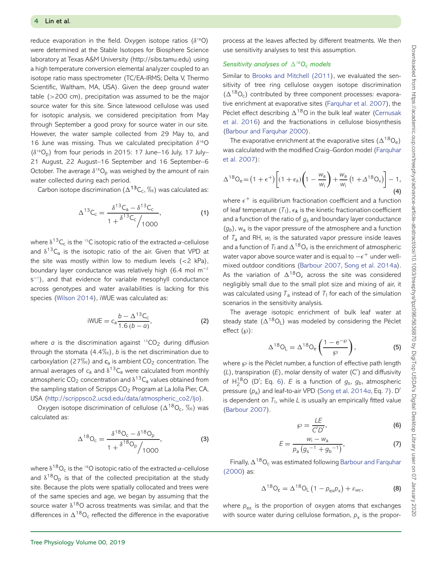reduce evaporation in the field. Oxygen isotope ratios  $(\delta^{18}O)$ were determined at the Stable Isotopes for Biosphere Science laboratory at Texas A&M University (http://sibs.tamu.edu) using a high temperature conversion elemental analyzer coupled to an isotope ratio mass spectrometer (TC/EA-IRMS; Delta V, Thermo Scientific, Waltham, MA, USA). Given the deep ground water table (>200 cm), precipitation was assumed to be the major source water for this site. Since latewood cellulose was used for isotopic analysis, we considered precipitation from May through September a good proxy for source water in our site. However, the water sample collected from 29 May to, and 16 June was missing. Thus we calculated precipitation  $\delta^{18}$ O  $(\delta^{18}O_p)$  from four periods in 2015: 17 June–16 July, 17 July– 21 August, 22 August–16 September and 16 September–6 October. The average  $\delta^{18}O_p$  was weighed by the amount of rain water collected during each period.

Carbon isotope discrimination  $(\Delta^{13}C_c, \%_0)$  was calculated as:

$$
\Delta^{13}C_{c} = \frac{\delta^{13}C_{a} - \delta^{13}C_{c}}{1 + \delta^{13}C_{c}} , \qquad (1)
$$

where  $\delta^{13}C_c$  is the <sup>13</sup>C isotopic ratio of the extracted  $\alpha$ -cellulose and  $\delta^{13}C_a$  is the isotopic ratio of the air. Given that VPD at the site was mostly within low to medium levels  $(<2$  kPa), boundary layer conductance was relatively high (6.4 mol m−<sup>2</sup> s−<sup>1</sup> ), and that evidence for variable mesophyll conductance across genotypes and water availabilities is lacking for this species [\(Wilson 2014\)](#page-10-25), iWUE was calculated as:

iWUE = 
$$
c_a \frac{b - \Delta^{13}C_c}{1.6(b - a)}
$$
, (2)

where  $\alpha$  is the discrimination against  $^{13}CO<sub>2</sub>$  during diffusion through the stomata  $(4.4\%)$ , *b* is the net discrimination due to carboxylation (27-) and *c*<sup>a</sup> is ambient CO2 concentration. The annual averages of  $c_a$  and  $\delta^{13}C_a$  were calculated from monthly atmospheric CO<sub>2</sub> concentration and  $\delta^{13}C_{a}$  values obtained from the sampling station of Scripps CO<sub>2</sub> Program at La Jolla Pier, CA, USA [\(http://scrippsco2.ucsd.edu/data/atmospheric\\_co2/ljo\)](http://scrippsco2.ucsd.edu/data/atmospheric_co2/ljo).

Oxygen isotope discrimination of cellulose ( $\Delta^{18}O_c$ ,  $\%$ <sub>0</sub>) was calculated as:

$$
\Delta^{18}O_c = \frac{\delta^{18}O_c - \delta^{18}O_p}{1 + \delta^{18}O_p \sqrt{1000}},
$$
\n(3)

where  $\delta^{18}O_c$  is the <sup>18</sup>O isotopic ratio of the extracted  $\alpha$ -cellulose and  $\delta^{18}O_p$  is that of the collected precipitation at the study site. Because the plots were spatially collocated and trees were of the same species and age, we began by assuming that the source water  $\delta^{18}O$  across treatments was similar, and that the differences in  $\Delta^{18}O_c$  reflected the difference in the evaporative process at the leaves affected by different treatments. We then use sensitivity analyses to test this assumption.

# *Sensitivity analyses of*  $\Delta^{18}O_c$  *models*

Similar to [Brooks and Mitchell \(2011\)](#page-9-18), we evaluated the sensitivity of tree ring cellulose oxygen isotope discrimination  $(\Delta^{18}O_c)$  contributed by three component processes: evaporative enrichment at evaporative sites [\(Farquhar et al. 2007\)](#page-9-25), the Péclet effect describing  $\Delta^{18}$ O in the bulk leaf water (Cernusak [et al. 2016\) and the fractionations in cellulose biosynthesis](#page-9-17) [\(Barbour and Farquhar 2000\)](#page-9-16).

The evaporative enrichment at the evaporative sites  $(\Delta^{18}O_e)$ [was calculated with the modified Craig–Gordon model \(Farquhar](#page-9-25) et al. 2007):

<span id="page-3-2"></span>
$$
\Delta^{18}O_e = (1+\epsilon^+)\left[ (1+\epsilon_k)\left(1-\frac{w_a}{w_i}\right) + \frac{w_a}{w_i} \left(1+\Delta^{18}O_v\right) \right] - 1,
$$
\n(4)

where  $\epsilon^+$  is equilibrium fractionation coefficient and a function of leaf temperature  $(T_1)$ ,  $\epsilon_k$  is the kinetic fractionation coefficient and a function of the ratio of *gs* and boundary layer conductance  $(q_b)$ ,  $w_a$  is the vapor pressure of the atmosphere and a function of  $T_a$  and RH,  $w_i$  is the saturated vapor pressure inside leaves and a function of  $T_1$  and  $\Delta^{18}O_v$  is the enrichment of atmospheric water vapor above source water and is equal to  $-\epsilon^+$  under wellmixed outdoor conditions [\(Barbour 2007,](#page-9-15) [Song et al. 2014a\)](#page-10-26). As the variation of  $\Delta^{18}O_v$  across the site was considered negligibly small due to the small plot size and mixing of air, it was calculated using  $T_a$  instead of  $T_1$  for each of the simulation scenarios in the sensitivity analysis.

The average isotopic enrichment of bulk leaf water at steady state  $(\Delta^{18}O_l)$  was modeled by considering the Péclet effect  $(\wp)$ :

$$
\Delta^{18}O_{L} = \Delta^{18}O_{e}\left(\frac{1 - e^{-\wp}}{\wp}\right),\tag{5}
$$

where  $\wp$  is the Péclet number, a function of effective path length  $(L)$ , transpiration  $(E)$ , molar density of water  $(C')$  and diffusivity of  $H_2^{18}O$  (D'; Eq. [6\)](#page-3-0). *E* is a function of  $g_s$ ,  $g_b$ , atmospheric pressure (*p*a) and leaf-to-air VPD [\(Song et al. 2014](#page-10-26)*a*, Eq. [7\)](#page-3-1). D is dependent on  $T<sub>1</sub>$ , while *L* is usually an empirically fitted value [\(Barbour 2007\)](#page-9-15).

$$
\wp = \frac{LE}{CD'},\tag{6}
$$

<span id="page-3-0"></span>
$$
E = \frac{w_{i} - w_{a}}{\rho_{a} \left(g_{s}^{-1} + g_{b}^{-1}\right)},
$$
\n(7)

<span id="page-3-1"></span>Finally,  $\Delta^{18}O_c$  [was estimated following](#page-9-16) Barbour and Farquhar (2000) as:

<span id="page-3-3"></span>
$$
\Delta^{18} \mathsf{O}_{\mathsf{c}} = \Delta^{18} \mathsf{O}_{\mathsf{L}} \left( 1 - p_{\mathsf{ex}} p_{\mathsf{x}} \right) + \varepsilon_{\mathsf{wc}}, \tag{8}
$$

where  $p_{ex}$  is the proportion of oxygen atoms that exchanges with source water during cellulose formation,  $p_x$  is the propor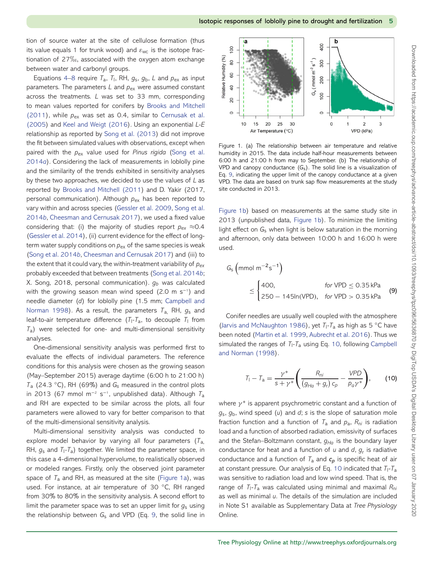tion of source water at the site of cellulose formation (thus its value equals 1 for trunk wood) and  $\varepsilon_{wc}$  is the isotope fractionation of 27 $\%$ <sub>0</sub>, associated with the oxygen atom exchange between water and carbonyl groups.

Equations [4](#page-3-2)[–8](#page-3-3) require  $T_a$ ,  $T_l$ , RH,  $g_s$ ,  $g_b$ , L and  $p_{ex}$  as input parameters. The parameters *L* and  $p_{\text{ex}}$  were assumed constant across the treatments. *L* was set to 33 mm, corresponding [to mean values reported for conifers by](#page-9-18) Brooks and Mitchell (2011), while  $p_{ex}$  was set as 0.4, similar to Cernusak et al. (2005) and [Keel and Weigt \(2016\). Using an exponential](#page-9-26) *L*-*E* relationship as reported by [Song et al. \(2013\)](#page-10-27) did not improve the fit between simulated values with observations, except when paired with the *p*ex value used for *Pinus rigida* (Song et al. 2014*a*[\). Considering the lack of measurements in loblolly pine](#page-10-26) and the similarity of the trends exhibited in sensitivity analyses by these two approaches, we decided to use the values of *L* as reported by [Brooks and Mitchell \(2011\)](#page-9-18) and D. Yakir (2017, personal communication). Although *p*ex has been reported to vary within and across species [\(Gessler et al. 2009,](#page-9-28) Song et al. 2014*b*, [Cheesman and Cernusak 2017\), we used a fixed value](#page-10-28) considering that: (i) the majority of studies report  $p_{ex} \approx 0.4$ [\(Gessler et al. 2014\)](#page-9-30), (ii) current evidence for the effect of longterm water supply conditions on  $p_{ex}$  of the same species is weak [\(Song et al. 2014](#page-10-28)*b*, [Cheesman and Cernusak 2017\)](#page-9-29) and (iii) to the extent that it could vary, the within-treatment variability of *pex* probably exceeded that between treatments [\(Song et al. 2014](#page-10-28)*b*; X. Song, 2018, personal communication).  $g_b$  was calculated with the growing season mean wind speed (2.0 m s<sup>−1</sup>) and needle diameter (*d*) for loblolly pine (1.5 mm; Campbell and [Norman 1998\). As a result, the parameters](#page-9-19) *T*a, RH, *g*<sup>s</sup> and leaf-to-air temperature difference  $(T_1 - T_a)$ , to decouple  $T_1$  from *T*a) were selected for one- and multi-dimensional sensitivity analyses.

One-dimensional sensitivity analysis was performed first to evaluate the effects of individual parameters. The reference conditions for this analysis were chosen as the growing season (May–September 2015) average daytime (6:00 h to 21:00 h) *T*<sub>a</sub> (24.3 °C), RH (69%) and *G*<sub>s</sub> measured in the control plots in 2013 (67 mmol m−<sup>2</sup> s−<sup>1</sup> , unpublished data). Although *T*<sup>a</sup> and RH are expected to be similar across the plots, all four parameters were allowed to vary for better comparison to that of the multi-dimensional sensitivity analysis.

Multi-dimensional sensitivity analysis was conducted to explore model behavior by varying all four parameters (*T*a, RH, *g*<sup>s</sup> and *T*l*-T*a) together. We limited the parameter space, in this case a 4-dimensional hypervolume, to realistically observed or modeled ranges. Firstly, only the observed joint parameter space of *T*<sup>a</sup> and RH, as measured at the site [\(Figure 1a\)](#page-4-0), was used. For instance, at air temperature of 30 °C, RH ranged from 30% to 80% in the sensitivity analysis. A second effort to limit the parameter space was to set an upper limit for *g*<sup>s</sup> using the relationship between *G*<sup>s</sup> and VPD (Eq. [9,](#page-4-1) the solid line in



<span id="page-4-0"></span>Figure 1. (a) The relationship between air temperature and relative humidity in 2015. The data include half-hour measurements between 6:00 h and 21:00 h from may to September. (b) The relationship of VPD and canopy conductance  $(G_s)$ . The solid line is a visualization of Eq. [9,](#page-4-1) indicating the upper limit of the canopy conductance at a given VPD. The data are based on trunk sap flow measurements at the study site conducted in 2013.

[Figure 1b\)](#page-4-0) based on measurements at the same study site in 2013 (unpublished data, [Figure 1b\)](#page-4-0). To minimize the limiting light effect on G<sub>s</sub> when light is below saturation in the morning and afternoon, only data between 10:00 h and 16:00 h were used.

<span id="page-4-1"></span>
$$
G_{s} \left( \text{mmol m}^{-2} \text{s}^{-1} \right)
$$
  
\n
$$
\leq \begin{cases} 400, & \text{for VPD} \leq 0.35 \text{ kPa} \\ 250 - 145 \text{ln(VPD)}, & \text{for VPD} > 0.35 \text{ kPa} \end{cases}
$$
 (9)

Conifer needles are usually well coupled with the atmosphere [\(Jarvis and McNaughton 1986\)](#page-9-31), yet *T*l*-T*<sup>a</sup> as high as 5 ◦C have been noted [\(Martin et al. 1999,](#page-10-29) [Aubrecht et al. 2016\)](#page-9-32). Thus we [simulated the ranges of](#page-9-19) *T*l*-T*<sup>a</sup> using Eq. [10,](#page-4-2) following Campbell and Norman (1998).

<span id="page-4-2"></span>
$$
T_1 - T_a = \frac{\gamma^*}{s + \gamma^*} \left( \frac{R_{ni}}{(g_{Ha} + g_r) c_p} - \frac{\gamma PD}{p_a \gamma^*} \right),
$$
 (10)

where  $\gamma^*$  is apparent psychrometric constant and a function of *g*s, *g*b, wind speed (*u*) and *d*; *s* is the slope of saturation mole fraction function and a function of  $T_a$  and  $p_a$ ,  $R_{ni}$  is radiation load and a function of absorbed radiation, emissivity of surfaces and the Stefan-Boltzmann constant,  $g_{Ha}$  is the boundary layer conductance for heat and a function of *u* and *d*, *g*<sup>r</sup> is radiative conductance and a function of *T*<sup>a</sup> and *cp* is specific heat of air at constant pressure. Our analysis of Eq. [10](#page-4-2) indicated that *T*l-*T*<sup>a</sup> was sensitive to radiation load and low wind speed. That is, the range of *T*l-*T*<sup>a</sup> was calculated using minimal and maximal *Rni* as well as minimal *u*. The details of the simulation are included in Note S1 available as Supplementary Data at *Tree Physiology* Online.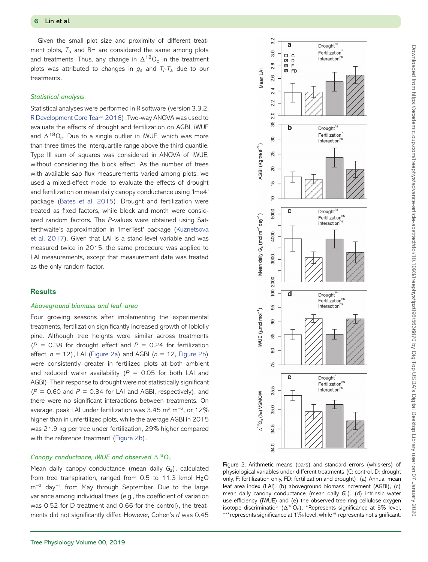Given the small plot size and proximity of different treatment plots, *T*<sup>a</sup> and RH are considered the same among plots and treatments. Thus, any change in  $\Delta^{18}O_c$  in the treatment plots was attributed to changes in *gs* and *Tl-T*<sup>a</sup> due to our treatments.

#### *Statistical analysis*

Statistical analyses were performed in R software (version 3.3.2, [R Development Core Team 2016\)](#page-10-30). Two-way ANOVA was used to evaluate the effects of drought and fertilization on AGBI, iWUE and  $\Delta^{18}O_c$ . Due to a single outlier in iWUE, which was more than three times the interquartile range above the third quantile, Type III sum of squares was considered in ANOVA of iWUE, without considering the block effect. As the number of trees with available sap flux measurements varied among plots, we used a mixed-effect model to evaluate the effects of drought and fertilization on mean daily canopy conductance using 'lme4' package [\(Bates et al. 2015\)](#page-9-33). Drought and fertilization were treated as fixed factors, while block and month were considered random factors. The *P*-values were obtained using Sat[terthwaite's approximation in 'lmerTest' package \(Kuznetsova](#page-10-31) et al. 2017). Given that LAI is a stand-level variable and was measured twice in 2015, the same procedure was applied to LAI measurements, except that measurement date was treated as the only random factor.

# **Results**

#### *Aboveground biomass and leaf area*

Four growing seasons after implementing the experimental treatments, fertilization significantly increased growth of loblolly pine. Although tree heights were similar across treatments  $(P = 0.38$  for drought effect and  $P = 0.24$  for fertilization effect, *n* = 12), LAI [\(Figure 2a\)](#page-5-0) and AGBI (*n* = 12, [Figure 2b\)](#page-5-0) were consistently greater in fertilized plots at both ambient and reduced water availability ( $P = 0.05$  for both LAI and AGBI). Their response to drought were not statistically significant  $(P = 0.60$  and  $P = 0.34$  for LAI and AGBI, respectively), and there were no significant interactions between treatments. On average, peak LAI under fertilization was 3.45 m² m<sup>−2</sup>, or 12% higher than in unfertilized plots, while the average AGBI in 2015 was 21.9 kg per tree under fertilization, 29% higher compared with the reference treatment [\(Figure 2b\)](#page-5-0).

# *Canopy conductance, iWUE and observed*  $\Delta^{18}O_c$

Mean daily canopy conductance (mean daily *Gs*), calculated from tree transpiration, ranged from 0.5 to 11.3 kmol  $H_2O$ m−<sup>2</sup> day−<sup>1</sup> from May through September. Due to the large variance among individual trees (e.g., the coefficient of variation was 0.52 for D treatment and 0.66 for the control), the treatments did not significantly differ. However, Cohen's *d* was 0.45



<span id="page-5-0"></span>Figure 2. Arithmetic means (bars) and standard errors (whiskers) of physiological variables under different treatments (C: control, D: drought only, F: fertilization only, FD: fertilization and drought). (a) Annual mean leaf area index (LAI), (b) aboveground biomass increment (AGBI), (c) mean daily canopy conductance (mean daily *Gs*), (d) intrinsic water use efficiency (iWUE) and (e) the observed tree ring cellulose oxygen isotope discrimination ( $\Delta^{18}O_c$ ). \*Represents significance at 5% level,  $***$ represents significance at 1 $\%$ <sub>0</sub> level, while <sup>ns</sup> represents not significant.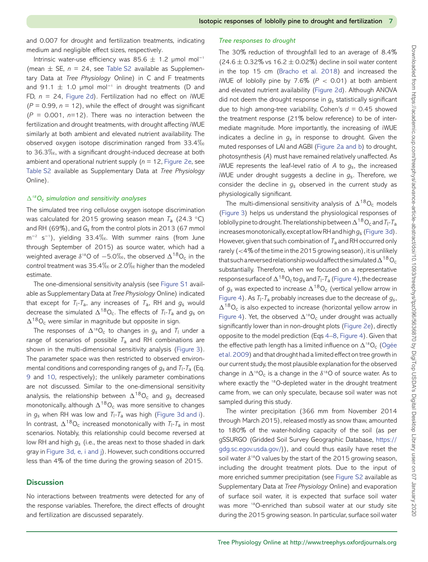and 0.007 for drought and fertilization treatments, indicating medium and negligible effect sizes, respectively.

Intrinsic water-use efficiency was 85.6  $\pm$  1.2 µmol mol<sup>-1</sup> (mean  $\pm$  SE,  $n = 24$ , see [Table S2](https://academic.oup.com/treephys/article-lookup/doi/10.1093/treephys/tpz096#supplementary-data) available as Supplementary Data at *Tree Physiology* Online) in C and F treatments and 91.1  $\pm$  1.0 µmol mol<sup>-1</sup> in drought treatments (D and FD, *n* = 24, [Figure 2d\)](#page-5-0). Fertilization had no effect on iWUE  $(P = 0.99, n = 12)$ , while the effect of drought was significant (*P* = 0.001, *n*=12). There was no interaction between the fertilization and drought treatments, with drought affecting iWUE similarly at both ambient and elevated nutrient availability. The observed oxygen isotope discrimination ranged from 33.4 $\%$ to 36.3-, with a significant drought-induced decrease at both ambient and operational nutrient supply (*n* = 12, [Figure 2e,](#page-5-0) see [Table S2](https://academic.oup.com/treephys/article-lookup/doi/10.1093/treephys/tpz096#supplementary-data) available as Supplementary Data at *Tree Physiology* Online).

#### *18Oc simulation and sensitivity analyses*

The simulated tree ring cellulose oxygen isotope discrimination was calculated for 2015 growing season mean *T*<sup>a</sup> (24.3 ◦C) and RH (69%), and *Gs* from the control plots in 2013 (67 mmol m<sup>−2</sup> s<sup>−1</sup>), yielding 33.4‰. With summer rains (from June through September of 2015) as source water, which had a weighted average  $\delta^{18}$ O of  $-5.0\%$ , the observed  $\Delta^{18}$ O<sub>c</sub> in the control treatment was 35.4 $\%$ o or 2.0 $\%$ o higher than the modeled estimate.

The one-dimensional sensitivity analysis (see [Figure S1](https://academic.oup.com/treephys/article-lookup/doi/10.1093/treephys/tpz096#supplementary-data) available as Supplementary Data at *Tree Physiology* Online) indicated that except for  $T_1$ - $T_a$ , any increases of  $T_a$ , RH and  $g_s$  would decrease the simulated  $\Delta^{18}O_c$ . The effects of  $T_1$ - $T_a$  and  $g_s$  on  $\Delta^{18}O_c$  were similar in magnitude but opposite in sign.

The responses of  $\Delta^{18}O_c$  to changes in  $g_s$  and  $T_1$  under a range of scenarios of possible *T*<sup>a</sup> and RH combinations are shown in the multi-dimensional sensitivity analysis [\(Figure 3\)](#page-7-0). The parameter space was then restricted to observed environmental conditions and corresponding ranges of *gs* and *T*l*-T*<sup>a</sup> (Eq. [9](#page-4-1) and [10,](#page-4-2) respectively); the unlikely parameter combinations are not discussed. Similar to the one-dimensional sensitivity analysis, the relationship between  $\Delta^{18}O_c$  and  $g_s$  decreased monotonically, although  $\Delta^{18}O_c$  was more sensitive to changes in  $g_s$  when RH was low and  $T_1 - T_a$  was high [\(Figure 3d and i\)](#page-7-0). In contrast,  $\Delta^{18}O_c$  increased monotonically with  $T_1$ - $T_a$  in most scenarios. Notably, this relationship could become reversed at low RH and high *gs* (i.e., the areas next to those shaded in dark gray in [Figure 3d, e, i and j\)](#page-7-0). However, such conditions occurred less than 4% of the time during the growing season of 2015.

# **Discussion**

No interactions between treatments were detected for any of the response variables. Therefore, the direct effects of drought and fertilization are discussed separately.

#### *Tree responses to drought*

The 30% reduction of throughfall led to an average of 8.4%  $(24.6 \pm 0.32\% \text{ vs } 16.2 \pm 0.02\%)$  decline in soil water content in the top 15 cm [\(Bracho et al. 2018\)](#page-9-34) and increased the iWUE of loblolly pine by 7.6% ( $P < 0.01$ ) at both ambient and elevated nutrient availability [\(Figure 2d\)](#page-5-0). Although ANOVA did not deem the drought response in *gs* statistically significant due to high among-tree variability, Cohen's  $d = 0.45$  showed the treatment response (21% below reference) to be of intermediate magnitude. More importantly, the increasing of iWUE indicates a decline in *gs* in response to drought. Given the muted responses of LAI and AGBI [\(Figure 2a and b\)](#page-5-0) to drought, photosynthesis (*A*) must have remained relatively unaffected. As iWUE represents the leaf-level ratio of *A* to *gs*, the increased iWUE under drought suggests a decline in *g*s. Therefore, we consider the decline in *gs* observed in the current study as physiologically significant.

The multi-dimensional sensitivity analysis of  $\Delta^{18}O_c$  models [\(Figure 3\)](#page-7-0) helps us understand the physiological responses of loblolly pine to drought. The relationship between  $\Delta^{18}O_c$  and  $T_I$ - $T_a$ increasesmonotonically, exceptat low RHand high*g*<sup>s</sup> [\(Figure 3d\)](#page-7-0). However, given that such combination of *T*<sup>a</sup> and RH occurred only rarely  $(<$  4% of the time in the 2015 growing season), it is unlikely that such a reversed relationship would affect the simulated  $\Delta^{18}O_c$ substantially. Therefore, when we focused on a representative response surface of  $\Delta^{18}O_c$  to  $g_s$  and  $T_1$ - $T_a$  [\(Figure 4\)](#page-7-1), the decrease of  $q_s$  was expected to increase  $\Delta^{18}O_c$  (vertical yellow arrow in [Figure 4\)](#page-7-1). As  $T_1$ - $T_a$  probably increases due to the decrease of  $g_s$ ,  $\Delta^{18}$ O<sub>c</sub> is also expected to increase (horizontal yellow arrow in [Figure 4\)](#page-7-1). Yet, the observed  $\Delta^{18}O_c$  under drought was actually significantly lower than in non-drought plots [\(Figure 2e\)](#page-5-0), directly opposite to the model prediction (Eqs [4–](#page-3-2)[8,](#page-3-3) [Figure 4\)](#page-7-1). Given that the effective path length has a limited influence on  $\Delta^{18}O_c$  (Ogée [et al. 2009\) and that drought had a limited effect on tree growth in](#page-10-20) our current study, the most plausible explanation for the observed change in  $\Delta^{18}O_c$  is a change in the  $\delta^{18}O$  of source water. As to where exactly the <sup>18</sup>O-depleted water in the drought treatment came from, we can only speculate, because soil water was not sampled during this study.

The winter precipitation (366 mm from November 2014 through March 2015), released mostly as snow thaw, amounted to 180% of the water-holding capacity of the soil (as per gSSURGO (Gridded Soil Survey Geographic Database, [https://](https://gdg.sc.egov.usda.gov/) [gdg.sc.egov.usda.gov/\)](https://gdg.sc.egov.usda.gov/)), and could thus easily have reset the soil water  $\delta^{18}$ O values by the start of the 2015 growing season, including the drought treatment plots. Due to the input of more enriched summer precipitation (see [Figure S2](https://academic.oup.com/treephys/article-lookup/doi/10.1093/treephys/tpz096#supplementary-data) available as Supplementary Data at *Tree Physiology* Online) and evaporation of surface soil water, it is expected that surface soil water was more <sup>18</sup>O-enriched than subsoil water at our study site during the 2015 growing season. In particular, surface soil water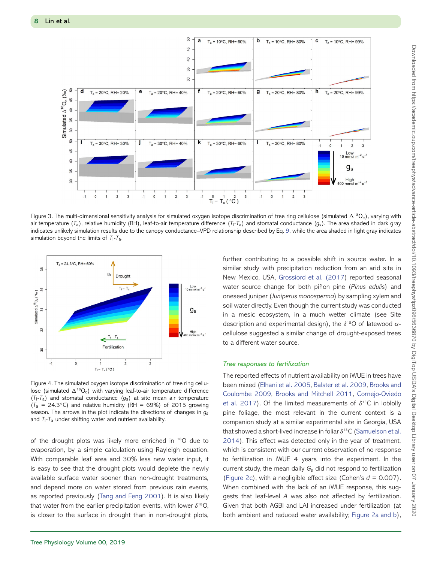

<span id="page-7-0"></span>Figure 3. The multi-dimensional sensitivity analysis for simulated oxygen isotope discrimination of tree ring cellulose (simulated  $\Delta^{18}O_c$ ), varying with air temperature  $(T_a)$ , relative humidity (RH), leaf-to-air temperature difference  $(T_1-T_a)$  and stomatal conductance  $(g_s)$ . The area shaded in dark gray indicates unlikely simulation results due to the canopy conductance–VPD relationship described by Eq. [9,](#page-4-1) while the area shaded in light gray indicates simulation beyond the limits of  $T_1 - T_a$ .



<span id="page-7-1"></span>Figure 4. The simulated oxygen isotope discrimination of tree ring cellulose (simulated  $\Delta^{18}O_c$ ) with varying leaf-to-air temperature difference  $(T_1 - T_a)$  and stomatal conductance  $(g_s)$  at site mean air temperature  $(T_a = 24.3 °C)$  and relative humidity (RH = 69%) of 2015 growing season. The arrows in the plot indicate the directions of changes in *gs* and  $T_1$ - $T_a$  under shifting water and nutrient availability.

of the drought plots was likely more enriched in 18O due to evaporation, by a simple calculation using Rayleigh equation. With comparable leaf area and 30% less new water input, it is easy to see that the drought plots would deplete the newly available surface water sooner than non-drought treatments, and depend more on water stored from previous rain events, as reported previously [\(Tang and Feng 2001\)](#page-10-32). It is also likely that water from the earlier precipitation events, with lower  $\delta^{18}O$ , is closer to the surface in drought than in non-drought plots,

further contributing to a possible shift in source water. In a similar study with precipitation reduction from an arid site in New Mexico, USA, [Grossiord et al. \(2017\)](#page-9-35) reported seasonal water source change for both piñon pine (*Pinus edulis*) and oneseed juniper (*Juniperus monosperma*) by sampling xylem and soil water directly. Even though the current study was conducted in a mesic ecosystem, in a much wetter climate (see Site description and experimental design), the  $\delta^{18}$ O of latewood  $\alpha$ cellulose suggested a similar change of drought-exposed trees to a different water source.

#### *Tree responses to fertilization*

The reported effects of nutrient availability on iWUE in trees have [been mixed \(Elhani](#page-9-8)[et](#page-9-8)[al.](#page-9-8)[2005,](#page-9-8) [Balster et al. 2009,](#page-9-37) Brooks and Coulombe 2009, [Brooks and Mitchell 2011,](#page-9-18) Cornejo-Oviedo [et al. 2017\). Of the limited measurements of](#page-9-38)  $\delta^{13}$ C in loblolly pine foliage, the most relevant in the current context is a companion study at a similar experimental site in Georgia, USA that showed a short-lived increase in foliar  $\delta^{13}$ C (Samuelson et al. [2014\). This effect was detected only in the year of treatment,](#page-10-33) which is consistent with our current observation of no response to fertilization in iWUE 4 years into the experiment. In the current study, the mean daily *Gs* did not respond to fertilization [\(Figure 2c\)](#page-5-0), with a negligible effect size (Cohen's  $d = 0.007$ ). When combined with the lack of an iWUE response, this suggests that leaf-level *A* was also not affected by fertilization. Given that both AGBI and LAI increased under fertilization (at both ambient and reduced water availability; [Figure 2a and b\)](#page-5-0),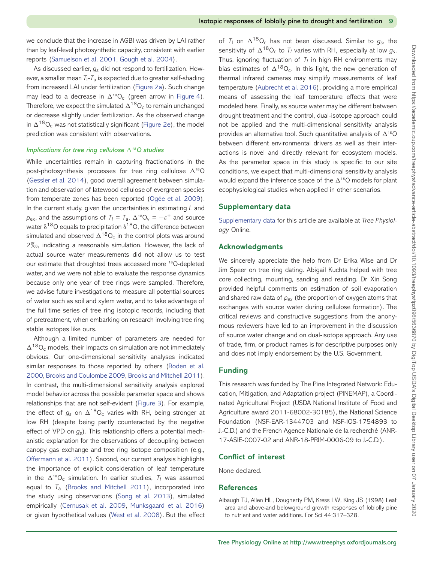we conclude that the increase in AGBI was driven by LAI rather than by leaf-level photosynthetic capacity, consistent with earlier reports [\(Samuelson et al. 2001,](#page-10-8) [Gough et al. 2004\)](#page-9-39).

As discussed earlier, *gs* did not respond to fertilization. However, a smaller mean *T*l*-T*<sup>a</sup> is expected due to greater self-shading from increased LAI under fertilization [\(Figure 2a\)](#page-5-0). Such change may lead to a decrease in  $\Delta^{18}O_c$  (green arrow in [Figure 4\)](#page-7-1). Therefore, we expect the simulated  $\Delta^{18}O_c$  to remain unchanged or decrease slightly under fertilization. As the observed change in  $\Delta^{18}O_c$  was not statistically significant [\(Figure 2e\)](#page-5-0), the model prediction was consistent with observations.

## *Implications for tree ring cellulose*  $\Delta^{18}$ O studies

While uncertainties remain in capturing fractionations in the post-photosynthesis processes for tree ring cellulose  $\Delta^{18}O$ [\(Gessler et al. 2014\)](#page-9-30), good overall agreement between simulation and observation of latewood cellulose of evergreen species from temperate zones has been reported [\(Ogée et al. 2009\)](#page-10-20). In the current study, given the uncertainties in estimating *L* and  $p_{\text{ex}}$ , and the assumptions of  $T_l = T_a$ ,  $\Delta^{18}O_v = -\varepsilon^+$  and source water  $\delta^{18}$ O equals to precipitation  $\delta^{18}$ O, the difference between simulated and observed  $\Delta^{18}O_c$  in the control plots was around 2-, indicating a reasonable simulation. However, the lack of actual source water measurements did not allow us to test our estimate that droughted trees accessed more 18O-depleted water, and we were not able to evaluate the response dynamics because only one year of tree rings were sampled. Therefore, we advise future investigations to measure all potential sources of water such as soil and xylem water, and to take advantage of the full time series of tree ring isotopic records, including that of pretreatment, when embarking on research involving tree ring stable isotopes like ours.

Although a limited number of parameters are needed for  $\Delta^{18}O_c$  models, their impacts on simulation are not immediately obvious. Our one-dimensional sensitivity analyses indicated [similar responses to those reported by others \(Roden et al.](#page-10-19) 2000, [Brooks and Coulombe 2009,](#page-9-8) [Brooks and Mitchell 2011\)](#page-9-18). In contrast, the multi-dimensional sensitivity analysis explored model behavior across the possible parameter space and shows relationships that are not self-evident [\(Figure 3\)](#page-7-0). For example, the effect of  $g_s$  on  $\Delta^{18}O_c$  varies with RH, being stronger at low RH (despite being partly counteracted by the negative effect of VPD on *gs*). This relationship offers a potential mechanistic explanation for the observations of decoupling between canopy gas exchange and tree ring isotope composition (e.g., [Offermann et al. 2011\)](#page-10-34). Second, our current analysis highlights the importance of explicit consideration of leaf temperature in the  $\Delta^{18}O_c$  simulation. In earlier studies,  $T_l$  was assumed equal to *T*<sup>a</sup> [\(Brooks and Mitchell 2011\)](#page-9-18), incorporated into the study using observations [\(Song et al. 2013\)](#page-10-27), simulated empirically [\(Cernusak et al. 2009,](#page-9-40) [Munksgaard et al. 2016\)](#page-10-35) or given hypothetical values [\(West et al. 2008\)](#page-10-36). But the effect of  $T_1$  on  $\Delta^{18}O_c$  has not been discussed. Similar to  $g_s$ , the sensitivity of  $\Delta^{18}O_c$  to  $T_l$  varies with RH, especially at low  $g_s$ . Thus, ignoring fluctuation of  $T_I$  in high RH environments may bias estimates of  $\Delta^{18}O_c$ . In this light, the new generation of thermal infrared cameras may simplify measurements of leaf temperature [\(Aubrecht et al. 2016\)](#page-9-32), providing a more empirical means of assessing the leaf temperature effects that were modeled here. Finally, as source water may be different between drought treatment and the control, dual-isotope approach could not be applied and the multi-dimensional sensitivity analysis provides an alternative tool. Such quantitative analysis of  $\Delta^{18}O$ between different environmental drivers as well as their interactions is novel and directly relevant for ecosystem models. As the parameter space in this study is specific to our site conditions, we expect that multi-dimensional sensitivity analysis would expand the inference space of the  $\Delta^{18}$ O models for plant ecophysiological studies when applied in other scenarios.

# **Supplementary data**

[Supplementary data](https://academic.oup.com/treephys/article-lookup/doi/10.1093/treephys/tpz096#supplementary-data) for this article are available at *Tree Physiology* Online.

#### **Acknowledgments**

We sincerely appreciate the help from Dr Erika Wise and Dr Jim Speer on tree ring dating. Abigail Kuchta helped with tree core collecting, mounting, sanding and reading. Dr Xin Song provided helpful comments on estimation of soil evaporation and shared raw data of *pex* (the proportion of oxygen atoms that exchanges with source water during cellulose formation). The critical reviews and constructive suggestions from the anonymous reviewers have led to an improvement in the discussion of source water change and on dual-isotope approach. Any use of trade, firm, or product names is for descriptive purposes only and does not imply endorsement by the U.S. Government.

# **Funding**

This research was funded by The Pine Integrated Network: Education, Mitigation, and Adaptation project (PINEMAP), a Coordinated Agricultural Project (USDA National Institute of Food and Agriculture award 2011-68002-30185), the National Science Foundation (NSF-EAR-1344703 and NSF-IOS-1754893 to J.-C.D.) and the French Agence Nationale de la recherché (ANR-17-ASIE-0007-02 and ANR-18-PRIM-0006-09 to J.-C.D.).

#### **Conflict of interest**

None declared.

#### **References**

<span id="page-8-0"></span>Albaugh TJ, Allen HL, Dougherty PM, Kress LW, King JS (1998) Leaf area and above-and belowground growth responses of loblolly pine to nutrient and water additions. For Sci 44:317–328.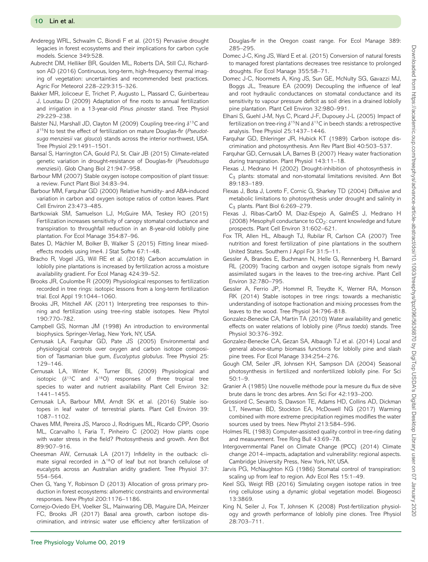- <span id="page-9-1"></span>Anderegg WRL, Schwalm C, Biondi F et al. (2015) Pervasive drought legacies in forest ecosystems and their implications for carbon cycle models. Science 349:528.
- <span id="page-9-32"></span>Aubrecht DM, Helliker BR, Goulden ML, Roberts DA, Still CJ, Richardson AD (2016) Continuous, long-term, high-frequency thermal imaging of vegetation: uncertainties and recommended best practices. Agric For Meteorol 228–229:315–326.
- <span id="page-9-5"></span>Bakker MR, Jolicoeur E, Trichet P, Augusto L, Plassard C, Guinberteau J, Loustau D (2009) Adaptation of fine roots to annual fertilization and irrigation in a 13-year-old *Pinus pinaster* stand. Tree Physiol 29:229–238.
- <span id="page-9-37"></span>Balster NJ, Marshall JD, Clayton M (2009) Coupling tree-ring  $\delta^{13}$ C and δ15N to test the effect of fertilization on mature Douglas-fir (*Pseudotsuga menziesii* var. *glauca*) stands across the interior northwest, USA. Tree Physiol 29:1491–1501.
- <span id="page-9-2"></span>Bansal S, Harrington CA, Gould PJ, St. Clair JB (2015) Climate-related genetic variation in drought-resistance of Douglas-fir (*Pseudotsuga menziesii*). Glob Chang Biol 21:947–958.
- <span id="page-9-15"></span>Barbour MM (2007) Stable oxygen isotope composition of plant tissue: a review. Funct Plant Biol 34:83–94.
- <span id="page-9-16"></span>Barbour MM, Farquhar GD (2000) Relative humidity- and ABA-induced variation in carbon and oxygen isotope ratios of cotton leaves. Plant Cell Environ 23:473–485.
- <span id="page-9-13"></span>Bartkowiak SM, Samuelson LJ, McGuire MA, Teskey RO (2015) Fertilization increases sensitivity of canopy stomatal conductance and transpiration to throughfall reduction in an 8-year-old loblolly pine plantation. For Ecol Manage 354:87–96.
- <span id="page-9-33"></span>Bates D, Mächler M, Bolker B, Walker S (2015) Fitting linear mixedeffects models using lme4. J Stat Softw 67:1–48.
- <span id="page-9-34"></span>Bracho R, Vogel JG, Will RE et al. (2018) Carbon accumulation in loblolly pine plantations is increased by fertilization across a moisture availability gradient. For Ecol Manag 424:39–52.
- <span id="page-9-8"></span>Brooks JR, Coulombe R (2009) Physiological responses to fertilization recorded in tree rings: isotopic lessons from a long-term fertilization trial. Ecol Appl 19:1044–1060.
- <span id="page-9-18"></span>Brooks JR, Mitchell AK (2011) Interpreting tree responses to thinning and fertilization using tree-ring stable isotopes. New Phytol 190:770–782.
- <span id="page-9-19"></span>Campbell GS, Norman JM (1998) An introduction to environmental biophysics. Springer-Verlag, New York, NY, USA.
- <span id="page-9-26"></span>Cernusak LA, Farquhar GD, Pate JS (2005) Environmental and physiological controls over oxygen and carbon isotope composition of Tasmanian blue gum, *Eucalyptus globulus*. Tree Physiol 25: 129–146.
- <span id="page-9-40"></span>Cernusak LA, Winter K, Turner BL (2009) Physiological and isotopic ( $\delta^{13}$ C and  $\delta^{18}$ O) responses of three tropical tree species to water and nutrient availability. Plant Cell Environ 32: 1441–1455.
- <span id="page-9-17"></span>Cernusak LA, Barbour MM, Arndt SK et al. (2016) Stable isotopes in leaf water of terrestrial plants. Plant Cell Environ 39: 1087–1102.
- <span id="page-9-9"></span>Chaves MM, Pereira JS, Maroco J, Rodrigues ML, Ricardo CPP, Osorio ML, Ccarvalho I, Faria T, Pinheiro C (2002) How plants cope with water stress in the field? Photosynthesis and growth. Ann Bot 89:907–916.
- <span id="page-9-29"></span>Cheesman AW, Cernusak LA (2017) Infidelity in the outback: climate signal recorded in  $\Delta^{18}$ O of leaf but not branch cellulose of eucalypts across an Australian aridity gradient. Tree Physiol 37: 554–564.
- <span id="page-9-4"></span>Chen G, Yang Y, Robinson D (2013) Allocation of gross primary production in forest ecosystems: allometric constraints and environmental responses. New Phytol 200:1176–1186.
- <span id="page-9-38"></span>Cornejo-Oviedo EH, Voelker SL, Mainwaring DB, Maguire DA, Meinzer FC, Brooks JR (2017) Basal area growth, carbon isotope discrimination, and intrinsic water use efficiency after fertilization of

Douglas-fir in the Oregon coast range. For Ecol Manage 389: 285–295.

- <span id="page-9-6"></span>Domec J-C, King JS, Ward E et al. (2015) Conversion of natural forests to managed forest plantations decreases tree resistance to prolonged droughts. For Ecol Manage 355:58–71.
- <span id="page-9-22"></span>Domec J-C, Noormets A, King JS, Sun GE, McNulty SG, Gavazzi MJ, Boggs JL, Treasure EA (2009) Decoupling the influence of leaf and root hydraulic conductances on stomatal conductance and its sensitivity to vapour pressure deficit as soil dries in a drained loblolly pine plantation. Plant Cell Environ 32:980–991.
- <span id="page-9-36"></span>Elhani S, Guehl J-M, Nys C, Picard J-F, Dupouey J-L (2005) Impact of fertilization on tree-ring  $\delta^{15}N$  and  $\delta^{13}C$  in beech stands: a retrospective analysis. Tree Physiol 25:1437–1446.
- <span id="page-9-7"></span>Farquhar GD, Ehleringer JR, Hubick KT (1989) Carbon isotope discrimination and photosynthesis. Ann Rev Plant Biol 40:503–537.
- <span id="page-9-25"></span>Farquhar GD, Cernusak LA, Barnes B (2007) Heavy water fractionation during transpiration. Plant Physiol 143:11–18.
- <span id="page-9-10"></span>Flexas J, Medrano H (2002) Drought-inhibition of photosynthesis in C3 plants: stomatal and non-stomatal limitations revisited. Ann Bot 89:183–189.
- <span id="page-9-11"></span>Flexas J, Bota J, Loreto F, Cornic G, Sharkey TD (2004) Diffusive and metabolic limitations to photosynthesis under drought and salinity in C<sub>3</sub> plants. Plant Biol 6:269-279.
- <span id="page-9-14"></span>Flexas J, Ribas-CarbÓ M, Diaz-Espejo A, GalmÉS J, Medrano H (2008) Mesophyll conductance to CO<sub>2</sub>: current knowledge and future prospects. Plant Cell Environ 31:602–621.
- <span id="page-9-3"></span>Fox TR, Allen HL, Albaugh TJ, Rubilar R, Carlson CA (2007) Tree nutrition and forest fertilization of pine plantations in the southern United States. Southern J Appl For 31:5–11.
- <span id="page-9-28"></span>Gessler A, Brandes E, Buchmann N, Helle G, Rennenberg H, Barnard RL (2009) Tracing carbon and oxygen isotope signals from newly assimilated sugars in the leaves to the tree-ring archive. Plant Cell Environ 32:780–795.
- <span id="page-9-30"></span>Gessler A, Ferrio JP, Hommel R, Treydte K, Werner RA, Monson RK (2014) Stable isotopes in tree rings: towards a mechanistic understanding of isotope fractionation and mixing processes from the leaves to the wood. Tree Physiol 34:796–818.
- <span id="page-9-23"></span>Gonzalez-Benecke CA, Martin TA (2010) Water availability and genetic effects on water relations of loblolly pine (*Pinus taeda*) stands. Tree Physiol 30:376–392.
- <span id="page-9-20"></span>Gonzalez-Benecke CA, Gezan SA, Albaugh TJ et al. (2014) Local and general above-stump biomass functions for loblolly pine and slash pine trees. For Ecol Manage 334:254–276.
- <span id="page-9-39"></span>Gough CM, Seiler JR, Johnsen KH, Sampson DA (2004) Seasonal photosynthesis in fertilized and nonfertilized loblolly pine. For Sci 50:1–9.
- <span id="page-9-21"></span>Granier A (1985) Une nouvelle méthode pour la mesure du flux de sève brute dans le tronc des arbres. Ann Sci For 42:193–200.
- <span id="page-9-35"></span>Grossiord C, Sevanto S, Dawson TE, Adams HD, Collins AD, Dickman LT, Newman BD, Stockton EA, McDowell NG (2017) Warming combined with more extreme precipitation regimes modifies the water sources used by trees. New Phytol 213:584–596.
- <span id="page-9-24"></span>Holmes RL (1983) Computer-assisted quality control in tree-ring dating and measurement. Tree Ring Bull 43:69–78.
- <span id="page-9-0"></span>Intergovernmental Panel on Climate Change (IPCC) (2014) Climate change 2014–impacts, adaptation and vulnerability: regional aspects. Cambridge University Press, New York, NY, USA.
- <span id="page-9-31"></span>Jarvis PG, McNaughton KG (1986) Stomatal control of transpiration: scaling up from leaf to region. Adv Ecol Res 15:1–49.
- <span id="page-9-27"></span>Keel SG, Weigt RB (2016) Simulating oxygen isotope ratios in tree ring cellulose using a dynamic global vegetation model. Biogeosci 13:3869.
- <span id="page-9-12"></span>King N, Seiler J, Fox T, Johnsen K (2008) Post-fertilization physiology and growth performance of loblolly pine clones. Tree Physiol 28:703–711.